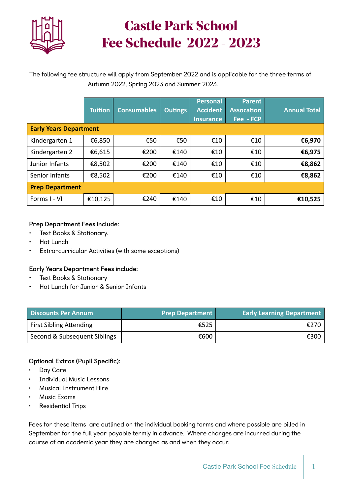

# **Castle Park School Fee Schedule 2022 - 2023**

The following fee structure will apply from September 2022 and is applicable for the three terms of Autumn 2022, Spring 2023 and Summer 2023.

|                               | <b>Tuition</b> | <b>Consumables</b> | <b>Outings</b> | <b>Personal</b><br><b>Accident</b><br><b>Insurance</b> | <b>Parent</b><br><b>Assocation</b><br>Fee - FCP | <b>Annual Total</b> |  |
|-------------------------------|----------------|--------------------|----------------|--------------------------------------------------------|-------------------------------------------------|---------------------|--|
| <b>Early Years Department</b> |                |                    |                |                                                        |                                                 |                     |  |
| Kindergarten 1                | €6,850         | €50                | €50            | €10                                                    | €10                                             | €6,970              |  |
| Kindergarten 2                | €6,615         | €200               | €140           | €10                                                    | €10                                             | €6,975              |  |
| Junior Infants                | €8,502         | €200               | €140           | €10                                                    | €10                                             | €8,862              |  |
| Senior Infants                | €8,502         | €200               | €140           | €10                                                    | €10                                             | €8,862              |  |
| <b>Prep Department</b>        |                |                    |                |                                                        |                                                 |                     |  |
| Forms I - VI                  | €10,125        | €240               | €140           | €10                                                    | €10                                             | €10,525             |  |

### **Prep Department Fees include:**

- Text Books & Stationary.
- Hot Lunch
- Extra-curricular Activities (with some exceptions)

#### **Early Years Department Fees include:**

- Text Books & Stationary
- Hot Lunch for Junior & Senior Infants

| <b>Discounts Per Annum</b>     | <b>Prep Department</b> | <b>Early Learning Department</b> |
|--------------------------------|------------------------|----------------------------------|
| <b>First Sibling Attending</b> | €525                   | €270                             |
| Second & Subsequent Siblings   | €600                   | €300                             |

### **Optional Extras (Pupil Specific):**

- Day Care
- Individual Music Lessons
- Musical Instrument Hire
- Music Exams
- Residential Trips

Fees for these items are outlined on the individual booking forms and where possible are billed in September for the full year payable termly in advance. Where charges are incurred during the course of an academic year they are charged as and when they occur.